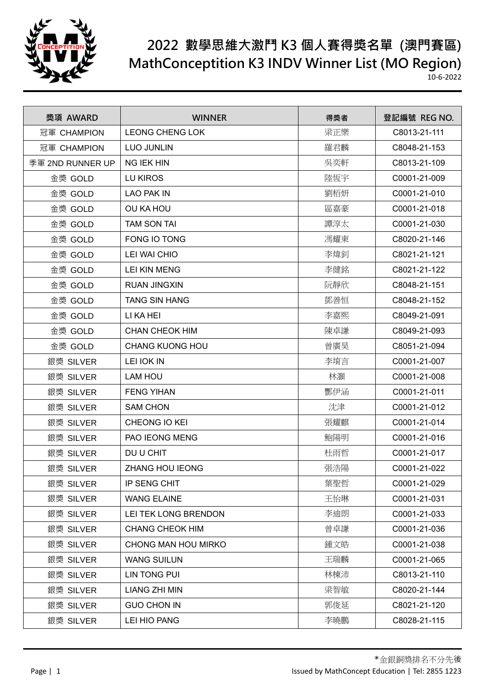

## **2022 數學思維大激鬥 K3 個人賽得獎名單 (澳門賽區) MathConceptition K3 INDV Winner List (MO Region)**

10-6-2022

| 獎項 AWARD         | <b>WINNER</b>          | 得獎者 | 登記編號 REG NO. |
|------------------|------------------------|-----|--------------|
| 冠軍 CHAMPION      | <b>LEONG CHENG LOK</b> | 梁正樂 | C8013-21-111 |
| 冠軍 CHAMPION      | <b>LUO JUNLIN</b>      | 羅君麟 | C8048-21-153 |
| 季軍 2ND RUNNER UP | <b>NG IEK HIN</b>      | 吳奕軒 | C8013-21-109 |
| 金獎 GOLD          | LU KIROS               | 陸恆宇 | C0001-21-009 |
| 金獎 GOLD          | <b>LAO PAK IN</b>      | 劉栢妍 | C0001-21-010 |
| 金獎 GOLD          | OU KA HOU              | 區嘉豪 | C0001-21-018 |
| 金獎 GOLD          | <b>TAM SON TAI</b>     | 譚淳太 | C0001-21-030 |
| 金獎 GOLD          | FONG IO TONG           | 馮耀東 | C8020-21-146 |
| 金獎 GOLD          | LEI WAI CHIO           | 李煒釗 | C8021-21-121 |
| 金獎 GOLD          | <b>LEI KIN MENG</b>    | 李健銘 | C8021-21-122 |
| 金獎 GOLD          | <b>RUAN JINGXIN</b>    | 阮靜欣 | C8048-21-151 |
| 金獎 GOLD          | <b>TANG SIN HANG</b>   | 鄧善恒 | C8048-21-152 |
| 金獎 GOLD          | LI KA HEI              | 李嘉熙 | C8049-21-091 |
| 金獎 GOLD          | <b>CHAN CHEOK HIM</b>  | 陳卓謙 | C8049-21-093 |
| 金獎 GOLD          | <b>CHANG KUONG HOU</b> | 曾廣昊 | C8051-21-094 |
| 銀獎 SILVER        | <b>LEI IOK IN</b>      | 李堉言 | C0001-21-007 |
| 銀獎 SILVER        | LAM HOU                | 林灝  | C0001-21-008 |
| 銀獎 SILVER        | <b>FENG YIHAN</b>      | 酆伊涵 | C0001-21-011 |
| 銀獎 SILVER        | <b>SAM CHON</b>        | 沈津  | C0001-21-012 |
| 銀獎 SILVER        | CHEONG IO KEI          | 張耀麒 | C0001-21-014 |
| 銀獎 SILVER        | PAO IEONG MENG         | 鮑陽明 | C0001-21-016 |
| 銀獎 SILVER        | DU U CHIT              | 杜雨哲 | C0001-21-017 |
| 銀獎 SILVER        | <b>ZHANG HOU IEONG</b> | 張浩陽 | C0001-21-022 |
| 銀獎 SILVER        | IP SENG CHIT           | 葉聖哲 | C0001-21-029 |
| 銀獎 SILVER        | <b>WANG ELAINE</b>     | 王怡琳 | C0001-21-031 |
| 銀獎 SILVER        | LEI TEK LONG BRENDON   | 李迪朗 | C0001-21-033 |
| 銀獎 SILVER        | <b>CHANG CHEOK HIM</b> | 曾卓謙 | C0001-21-036 |
| 銀獎 SILVER        | CHONG MAN HOU MIRKO    | 鍾文皓 | C0001-21-038 |
| 銀獎 SILVER        | <b>WANG SUILUN</b>     | 王瑞麟 | C0001-21-065 |
| 銀獎 SILVER        | <b>LIN TONG PUI</b>    | 林棟沛 | C8013-21-110 |
| 銀獎 SILVER        | <b>LIANG ZHI MIN</b>   | 梁智敏 | C8020-21-144 |
| 銀獎 SILVER        | <b>GUO CHON IN</b>     | 郭俊延 | C8021-21-120 |
| 銀獎 SILVER        | LEI HIO PANG           | 李曉鵬 | C8028-21-115 |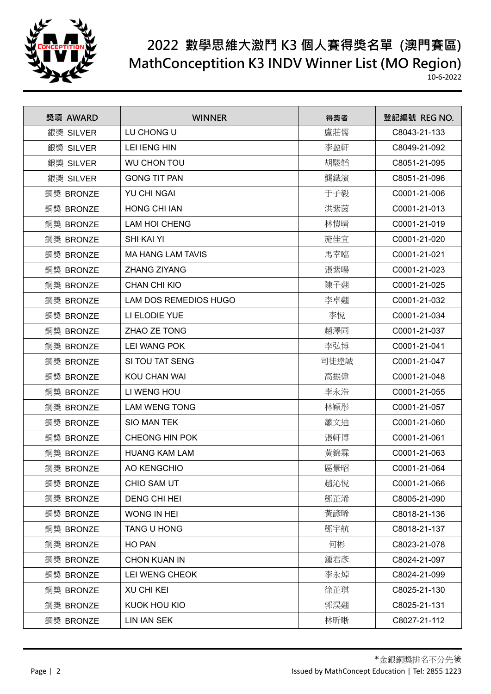

## **2022 數學思維大激鬥 K3 個人賽得獎名單 (澳門賽區) MathConceptition K3 INDV Winner List (MO Region)**

10-6-2022

| 獎項 AWARD  | <b>WINNER</b>                | 得獎者  | 登記編號 REG NO. |
|-----------|------------------------------|------|--------------|
| 銀獎 SILVER | LU CHONG U                   | 盧莊儒  | C8043-21-133 |
| 銀獎 SILVER | <b>LEI IENG HIN</b>          | 李盈軒  | C8049-21-092 |
| 銀獎 SILVER | <b>WU CHON TOU</b>           | 胡駿韜  | C8051-21-095 |
| 銀獎 SILVER | <b>GONG TIT PAN</b>          | 龔鐵濱  | C8051-21-096 |
| 銅獎 BRONZE | YU CHI NGAI                  | 于子毅  | C0001-21-006 |
| 銅獎 BRONZE | <b>HONG CHI IAN</b>          | 洪紫茵  | C0001-21-013 |
| 銅獎 BRONZE | <b>LAM HOI CHENG</b>         | 林愷晴  | C0001-21-019 |
| 銅獎 BRONZE | <b>SHI KAI YI</b>            | 施佳宜  | C0001-21-020 |
| 銅獎 BRONZE | <b>MA HANG LAM TAVIS</b>     | 馬幸臨  | C0001-21-021 |
| 銅獎 BRONZE | <b>ZHANG ZIYANG</b>          | 張紫暘  | C0001-21-023 |
| 銅獎 BRONZE | <b>CHAN CHI KIO</b>          | 陳子翹  | C0001-21-025 |
| 銅獎 BRONZE | <b>LAM DOS REMEDIOS HUGO</b> | 李卓翹  | C0001-21-032 |
| 銅獎 BRONZE | LI ELODIE YUE                | 李悅   | C0001-21-034 |
| 銅獎 BRONZE | ZHAO ZE TONG                 | 趙澤同  | C0001-21-037 |
| 銅獎 BRONZE | <b>LEI WANG POK</b>          | 李弘博  | C0001-21-041 |
| 銅獎 BRONZE | SI TOU TAT SENG              | 司徒達誠 | C0001-21-047 |
| 銅獎 BRONZE | KOU CHAN WAI                 | 高振偉  | C0001-21-048 |
| 銅獎 BRONZE | LI WENG HOU                  | 李永浩  | C0001-21-055 |
| 銅獎 BRONZE | <b>LAM WENG TONG</b>         | 林穎彤  | C0001-21-057 |
| 銅獎 BRONZE | <b>SIO MAN TEK</b>           | 蕭文迪  | C0001-21-060 |
| 銅獎 BRONZE | <b>CHEONG HIN POK</b>        | 張軒博  | C0001-21-061 |
| 銅獎 BRONZE | <b>HUANG KAM LAM</b>         | 黃錦霖  | C0001-21-063 |
| 銅獎 BRONZE | AO KENGCHIO                  | 區景昭  | C0001-21-064 |
| 銅獎 BRONZE | CHIO SAM UT                  | 趙沁悅  | C0001-21-066 |
| 銅獎 BRONZE | <b>DENG CHI HEI</b>          | 鄧芷浠  | C8005-21-090 |
| 銅獎 BRONZE | WONG IN HEI                  | 黃諺晞  | C8018-21-136 |
| 銅獎 BRONZE | TANG U HONG                  | 鄧宇航  | C8018-21-137 |
| 銅獎 BRONZE | HO PAN                       | 何彬   | C8023-21-078 |
| 銅獎 BRONZE | <b>CHON KUAN IN</b>          | 鍾君彥  | C8024-21-097 |
| 銅獎 BRONZE | LEI WENG CHEOK               | 李永焯  | C8024-21-099 |
| 銅獎 BRONZE | <b>XU CHI KEI</b>            | 徐芷琪  | C8025-21-130 |
| 銅獎 BRONZE | KUOK HOU KIO                 | 郭淏翹  | C8025-21-131 |
| 銅獎 BRONZE | <b>LIN IAN SEK</b>           | 林昕晰  | C8027-21-112 |